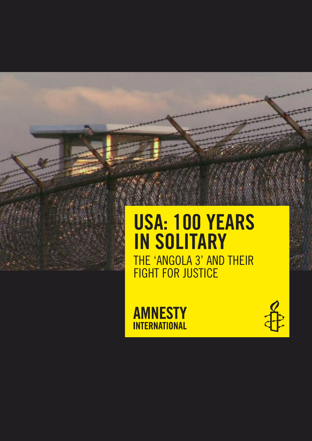# **USA: 100 YEARS IN SOLITARY** THE 'ANGOLA 3' AND THEIR FIGHT FOR JUSTICE

**AMNESTY INTERNATIONAL** 

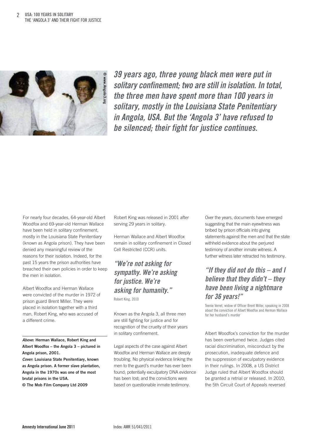

**39 years ago, three young black men were put in solitary confinement; two are still in isolation. In total, the three men have spent more than 100 years in solitary, mostly in the Louisiana State Penitentiary in Angola, USA. But the 'Angola 3' have refused to be silenced; their fight for justice continues.**

For nearly four decades, 64-year-old Albert Woodfox and 69-year-old Herman Wallace have been held in solitary confinement, mostly in the Louisiana State Penitentiary (known as Angola prison). They have been denied any meaningful review of the reasons for their isolation. Indeed, for the past 15 years the prison authorities have breached their own policies in order to keep the men in isolation.

Albert Woodfox and Herman Wallace were convicted of the murder in 1972 of prison guard Brent Miller. They were placed in isolation together with a third man, Robert King, who was accused of a different crime.

**Above: Herman Wallace, Robert King and Albert Woodfox – the Angola 3 – pictured in Angola prison, 2001.**

**Cover: Louisiana State Penitentiary, known as Angola prison. A former slave plantation, Angola in the 1970s was one of the most brutal prisons in the USA.**

**© The Mob Film Company Ltd 2009**

Robert King was released in 2001 after serving 29 years in solitary.

Herman Wallace and Albert Woodfox remain in solitary confinement in Closed Cell Restricted (CCR) units.

#### **"We're not asking for sympathy. We're asking for justice. We're asking for humanity."** Robert King, 2010

Known as the Angola 3, all three men are still fighting for justice and for recognition of the cruelty of their years in solitary confinement.

Legal aspects of the case against Albert Woodfox and Herman Wallace are deeply troubling. No physical evidence linking the men to the guard's murder has ever been found; potentially exculpatory DNA evidence has been lost; and the convictions were based on questionable inmate testimony.

Over the years, documents have emerged suggesting that the main eyewitness was bribed by prison officials into giving statements against the men and that the state withheld evidence about the perjured testimony of another inmate witness. A further witness later retracted his testimony.

### **"If they did not do this – and I believe that they didn't – they have been living a nightmare for 36 years!"**

Teenie Verret, widow of Officer Brent Miller, speaking in 2008 about the conviction of Albert Woodfox and Herman Wallace for her husband's murder

Albert Woodfox's conviction for the murder has been overturned twice. Judges cited racial discrimination, misconduct by the prosecution, inadequate defence and the suppression of exculpatory evidence in their rulings. In 2008, a US District Judge ruled that Albert Woodfox should be granted a retrial or released. In 2010, the 5th Circuit Court of Appeals reversed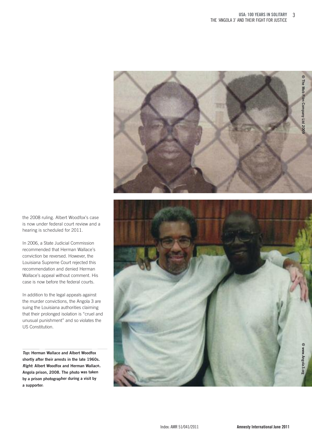

the 2008 ruling. Albert Woodfox's case is now under federal court review and a hearing is scheduled for 2011.

In 2006, a State Judicial Commission recommended that Herman Wallace's conviction be reversed. However, the Louisiana Supreme Court rejected this recommendation and denied Herman Wallace's appeal without comment. His case is now before the federal courts.

In addition to the legal appeals against the murder convictions, the Angola 3 are suing the Louisiana authorities claiming that their prolonged isolation is "cruel and unusual punishment" and so violates the US Constitution.

**Top: Herman Wallace and Albert Woodfox shortly after their arrests in the late 1960s. Right: Albert Woodfox and Herman Wallace, Angola prison, 2008. The photo was taken by <sup>a</sup> prison photographer during <sup>a</sup> visit by <sup>a</sup> supporter.**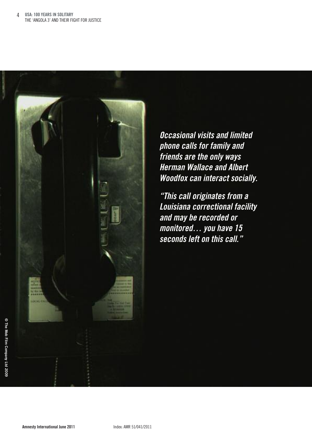

**Occasional visits and limited phone calls for family and friends are the only ways Herman Wallace and Albert Woodfox can interact socially.**

**"This call originates from a Louisiana correctional facility and may be recorded or monitored… you have 15 seconds left on this call."**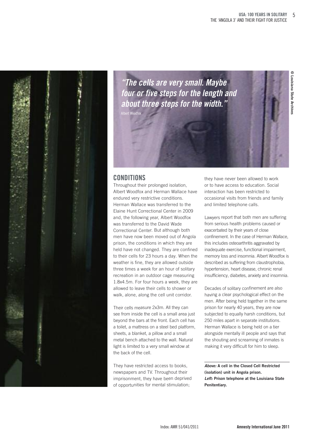

**"The cells are very small. Maybe four or five steps for the length and about three steps for the width."** Albert Woodfox

## **Louisiana State Archives**

**©**

#### **CONdITIONS**

Throughout their prolonged isolation, Albert Woodfox and Herman Wallace have endured very restrictive conditions. Herman Wallace was transferred to the Elaine Hunt Correctional Center in 2009 and, the following year, Albert Woodfox was transferred to the David Wade Correctional Center. But although both men have now been moved out of Angola prison, the conditions in which they are held have not changed. They are confined to their cells for 23 hours <sup>a</sup> day. When the weather is fine, they are allowed outside three times <sup>a</sup> week for an hour of solitary recreation in an outdoor cage measuring 1.8x4.5m. For four hours <sup>a</sup> week, they are allowed to leave their cells to shower or walk, alone, along the cell unit corridor.

Their cells measure 2x3m. All they can see from inside the cell is <sup>a</sup> small area just beyond the bars at the front. Each cell has <sup>a</sup> toilet, <sup>a</sup> mattress on <sup>a</sup> steel bed platform, sheets, <sup>a</sup> blanket, <sup>a</sup> pillow and <sup>a</sup> small metal bench attached to the wall. Natural light is limited to <sup>a</sup> very small window at the back of the cell.

They have restricted access to books, newspapers and TV. Throughout their imprisonment, they have been deprived of opportunities for mental stimulation;

they have never been allowed to work or to have access to education. Social interaction has been restricted to occasional visits from friends and family and limited telephone calls.

Lawyers report that both men are suffering from serious health problems caused or exacerbated by their years of close confinement. In the case of Herman Wallace, this includes osteoarthritis aggravated by inadequate exercise, functional impairment, memory loss and insomnia. Albert Woodfox is described as suffering from claustrophobia, hypertension, heart disease, chronic renal insufficiency, diabetes, anxiety and insomnia.

Decades of solitary confinement are also having <sup>a</sup> clear psychological effect on the men. After being held together in the same prison for nearly 40 years, they are now subjected to equally harsh conditions, but 250 miles apart in separate institutions. Herman Wallace is being held on <sup>a</sup> tier alongside mentally ill people and says that the shouting and screaming of inmates is making it very difficult for him to sleep.

**Above: A cell in the Closed Cell Restricted (isolation) unit in Angola prison. Left: Prison telephone at the Louisiana State Penitentiary.**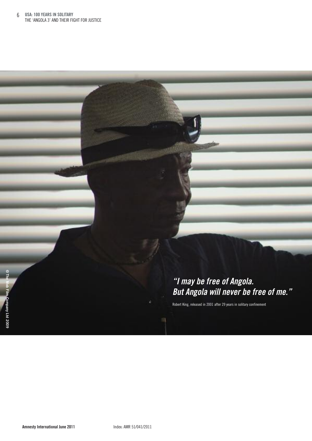### **"I may be free of Angola. But Angola will never be free of me."**

Robert King, released in 2001 after 29 years in solitary confinement

11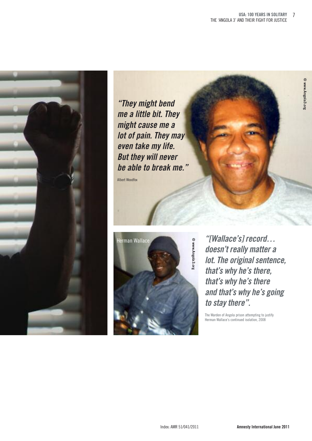

**"They might bend me a little bit. They might cause me a lot of pain. They may even take my life. But they will never be able to break me."**

Albert Woodfox



**"[Wallace's] record… doesn't really matter a lot. The original sentence, that's why he's there, that's why he's there and that's why he's going to stay there".**

The Warden of Angola prison attempting to justify Herman Wallace's continued isolation, 2008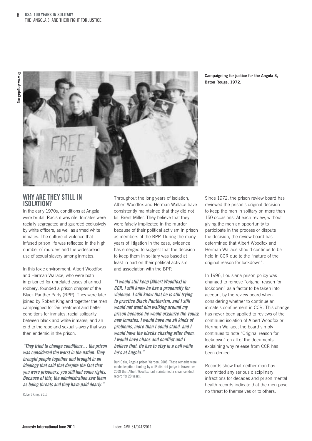

**Campaigning for justice for the Angola 3, Baton Rouge, 1972.**

#### **whY ARE ThEY STILL IN ISOLATION?**

In the early 1970s, conditions at Angola were brutal. Racism was rife. Inmates were racially segregated and guarded exclusively by white officers, as well as armed white inmates. The culture of violence that infused prison life was reflected in the high number of murders and the widespread use of sexual slavery among inmates.

In this toxic environment, Albert Woodfox and Herman Wallace, who were both imprisoned for unrelated cases of armed robbery, founded a prison chapter of the Black Panther Party (BPP). They were later joined by Robert King and together the men campaigned for fair treatment and better conditions for inmates; racial solidarity between black and white inmates; and an end to the rape and sexual slavery that was then endemic in the prison.

**"Theytried to change conditions… the prison was considered the worst in the nation. They brought people together and brought in an ideology that said that despite the fact that you were prisoners, you still had some rights. Because of this, the administration saw them as being threats and they have paid dearly."**

Robert King, 2011

Throughout the long years of isolation, Albert Woodfox and Herman Wallace have consistently maintained that they did not kill Brent Miller. They believe that they were falsely implicated in the murder because of their political activism in prison as members of the BPP. During the many years of litigation in the case, evidence has emerged to suggest that the decision to keep them in solitary was based at least in part on their political activism and association with the BPP.

**"I would still keep [Albert Woodfox] in CCR. I still know he has a propensity for violence. I still know that he is still trying to practice Black Pantherism, and I still would not want him walking around my prison because he would organize the young new inmates. I would have me all kinds of problems, more than I could stand, and I would have the blacks chasing after them. I would have chaos and conflict and I believe that. He has to stay in a cell while he's at Angola."**

Burl Cain, Angola prison Warden, 2008. These remarks were made despite a finding by a US district judge in November 2008 that Albert Woodfox had maintained a clean conduct record for 20 years.

Since 1972, the prison review board has reviewed the prison's original decision to keep the men in solitary on more than 150 occasions. At each review, without giving the men an opportunity to participate in the process or dispute the decision, the review board has determined that Albert Woodfox and Herman Wallace should continue to be held in CCR due to the "nature of the original reason for lockdown".

In 1996, Louisiana prison policy was changed to remove "original reason for lockdown" as a factor to be taken into account by the review board when considering whether to continue an inmate's confinement in CCR. This change has never been applied to reviews of the continued isolation of Albert Woodfox or Herman Wallace; the board simply continues to note "Original reason for lockdown" on all of the documents explaining why release from CCR has been denied.

Records show that neither man has committed any serious disciplinary infractions for decades and prison mental health records indicate that the men pose no threat to themselves or to others.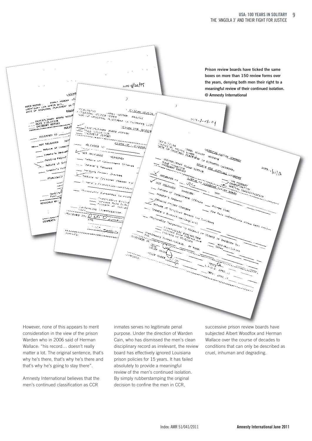

However, none of this appears to merit consideration in the view of the prison Warden who in 2006 said of Herman Wallace: "his record… doesn't really matter a lot. The original sentence, that's why he's there, that's why he's there and that's why he's going to stay there".

Amnesty International believes that the men's continued classification as CCR

inmates serves no legitimate penal purpose. Under the direction of Warden Cain, who has dismissed the men's clean disciplinary record as irrelevant, the review board has effectively ignored Louisiana prison policies for 15 years. It has failed absolutely to provide a meaningful review of the men's continued isolation. By simply rubberstamping the original decision to confine the men in CCR,

successive prison review boards have subjected Albert Woodfox and Herman Wallace over the course of decades to conditions that can only be described as cruel, inhuman and degrading.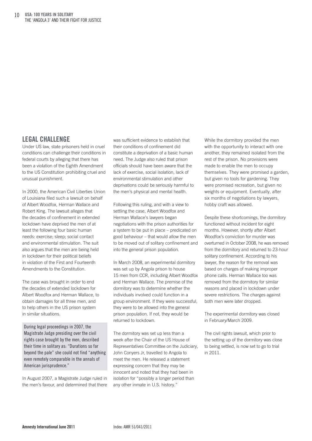#### **LEgAL ChALLENgE**

Under US law, state prisoners held in cruel conditions can challenge their conditions in federal courts by alleging that there has been a violation of the Eighth Amendment to the US Constitution prohibiting cruel and unusual punishment.

In 2000, the American Civil Liberties Union of Louisiana filed such a lawsuit on behalf of Albert Woodfox, Herman Wallace and Robert King. The lawsuit alleges that the decades of confinement in extended lockdown have deprived the men of at least the following four basic human needs: exercise; sleep; social contact and environmental stimulation. The suit also argues that the men are being held in lockdown for their political beliefs in violation of the First and Fourteenth Amendments to the Constitution.

The case was brought in order to end the decades of extended lockdown for Albert Woodfox and Herman Wallace, to obtain damages for all three men, and to help others in the US prison system in similar situations.

During legal proceedings in 2007, the Magistrate Judge presiding over the civil rights case brought by the men, described their time in solitary as: "Durations so far beyond the pale" she could not find "anything even remotely comparable in the annals of American jurisprudence."

In August 2007, a Magistrate Judge ruled in the men's favour, and determined that there was sufficient evidence to establish that their conditions of confinement did constitute a deprivation of a basic human need. The Judge also ruled that prison officials should have been aware that the lack of exercise, social isolation, lack of environmental stimulation and other deprivations could be seriously harmful to the men's physical and mental health.

Following this ruling, and with a view to settling the case, Albert Woodfox and Herman Wallace's lawyers began negotiations with the prison authorities for a system to be put in place – predicated on good behaviour – that would allow the men to be moved out of solitary confinement and into the general prison population.

In March 2008, an experimental dormitory was set up by Angola prison to house 15 men from CCR, including Albert Woodfox and Herman Wallace. The premise of the dormitory was to determine whether the individuals involved could function in a group environment. If they were successful, they were to be allowed into the general prison population. If not, they would be returned to lockdown.

The dormitory was set up less than a week after the Chair of the US House of Representatives Committee on the Judiciary, John Conyers Jr, travelled to Angola to meet the men. He released a statement expressing concern that they may be innocent and noted that they had been in isolation for "possibly a longer period than any other inmate in U.S. history."

While the dormitory provided the men with the opportunity to interact with one another, they remained isolated from the rest of the prison. No provisions were made to enable the men to occupy themselves. They were promised a garden, but given no tools for gardening. They were promised recreation, but given no weights or equipment. Eventually, after six months of negotiations by lawyers, hobby craft was allowed.

Despite these shortcomings, the dormitory functioned without incident for eight months. However, shortly after Albert Woodfox's conviction for murder was overturned in October 2008, he was removed from the dormitory and returned to 23-hour solitary confinement. According to his lawyer, the reason for the removal was based on charges of making improper phone calls. Herman Wallace too was removed from the dormitory for similar reasons and placed in lockdown under severe restrictions. The charges against both men were later dropped.

The experimental dormitory was closed in February/March 2009.

The civil rights lawsuit, which prior to the setting up of the dormitory was close to being settled, is now set to go to trial in 2011.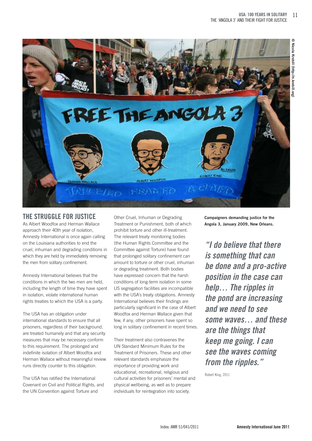

#### **ThE STRUggLE fOR JUSTICE**

As Albert Woodfox and Herman Wallace approach their 40th year of isolation, Amnesty International is once again calling on the Louisiana authorities to end the cruel, inhuman and degrading conditions in which they are held by immediately removing the men from solitary confinement.

Amnesty International believes that the conditions in which the two men are held, including the length of time they have spent in isolation, violate international human rights treaties to which the USA is a party.

The USA has an obligation under international standards to ensure that all prisoners, regardless of their background, are treated humanely and that any security measures that may be necessary conform to this requirement. The prolonged and indefinite isolation of Albert Woodfox and Herman Wallace without meaningful review runs directly counter to this obligation.

The USA has ratified the International Covenant on Civil and Political Rights, and the UN Convention against Torture and

Other Cruel, Inhuman or Degrading Treatment or Punishment, both of which prohibit torture and other ill-treatment. The relevant treaty monitoring bodies (the Human Rights Committee and the Committee against Torture) have found that prolonged solitary confinement can amount to torture or other cruel, inhuman or degrading treatment. Both bodies have expressed concern that the harsh conditions of long-term isolation in some US segregation facilities are incompatible with the USA's treaty obligations. Amnesty International believes their findings are particularly significant in the case of Albert Woodfox and Herman Wallace given that few, if any, other prisoners have spent so long in solitary confinement in recent times.

Their treatment also contravenes the UN Standard Minimum Rules for the Treatment of Prisoners. These and other relevant standards emphasize the importance of providing work and educational, recreational, religious and cultural activities for prisoners' mental and physical wellbeing, as well as to prepare individuals for reintegration into society.

**Campaigners demanding justice for the Angola 3, January 2009, New Orleans.**

**"I do believe that there is something that can be done and a pro-active position in the case can help… The ripples in the pond are increasing and we need to see some waves… and these are the things that keep me going. I can see the waves coming from the ripples."**

Robert King, 2011